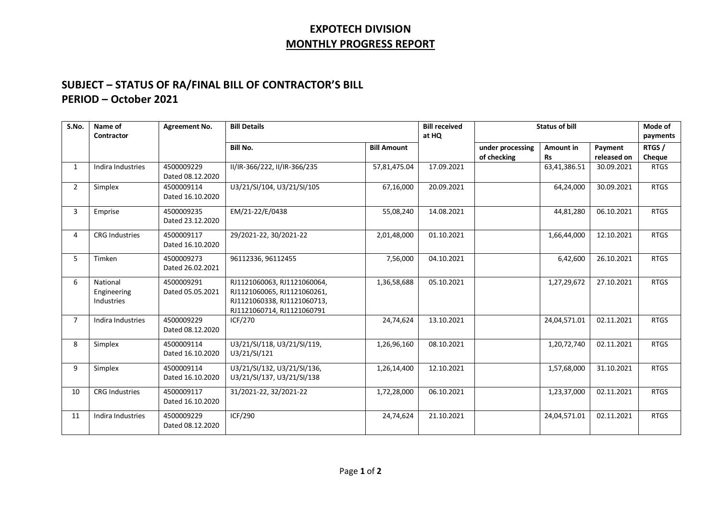## **EXPOTECH DIVISION MONTHLY PROGRESS REPORT**

## **SUBJECT – STATUS OF RA/FINAL BILL OF CONTRACTOR'S BILL PERIOD – October 2021**

| S.No.          | Name of<br>Contractor                 | <b>Agreement No.</b>           | <b>Bill Details</b>                                                                                                     |                    | <b>Bill received</b><br>at HQ | <b>Status of bill</b> |              |             | Mode of<br>payments |
|----------------|---------------------------------------|--------------------------------|-------------------------------------------------------------------------------------------------------------------------|--------------------|-------------------------------|-----------------------|--------------|-------------|---------------------|
|                |                                       |                                | <b>Bill No.</b>                                                                                                         | <b>Bill Amount</b> |                               | under processing      | Amount in    | Payment     | RTGS/               |
|                |                                       |                                |                                                                                                                         |                    |                               | of checking           | <b>Rs</b>    | released on | Cheque              |
| $\mathbf{1}$   | Indira Industries                     | 4500009229<br>Dated 08.12.2020 | II/IR-366/222, II/IR-366/235                                                                                            | 57,81,475.04       | 17.09.2021                    |                       | 63,41,386.51 | 30.09.2021  | <b>RTGS</b>         |
| $\overline{2}$ | Simplex                               | 4500009114<br>Dated 16.10.2020 | U3/21/SI/104, U3/21/SI/105                                                                                              | 67,16,000          | 20.09.2021                    |                       | 64,24,000    | 30.09.2021  | <b>RTGS</b>         |
| 3              | Emprise                               | 4500009235<br>Dated 23.12.2020 | EM/21-22/E/0438                                                                                                         | 55,08,240          | 14.08.2021                    |                       | 44,81,280    | 06.10.2021  | <b>RTGS</b>         |
| 4              | <b>CRG Industries</b>                 | 4500009117<br>Dated 16.10.2020 | 29/2021-22, 30/2021-22                                                                                                  | 2,01,48,000        | 01.10.2021                    |                       | 1,66,44,000  | 12.10.2021  | <b>RTGS</b>         |
| 5              | Timken                                | 4500009273<br>Dated 26.02.2021 | 96112336, 96112455                                                                                                      | 7,56,000           | 04.10.2021                    |                       | 6,42,600     | 26.10.2021  | <b>RTGS</b>         |
| 6              | National<br>Engineering<br>Industries | 4500009291<br>Dated 05.05.2021 | RJ1121060063, RJ1121060064,<br>RJ1121060065, RJ1121060261,<br>RJ1121060338, RJ1121060713,<br>RJ1121060714, RJ1121060791 | 1,36,58,688        | 05.10.2021                    |                       | 1,27,29,672  | 27.10.2021  | <b>RTGS</b>         |
| $\overline{7}$ | Indira Industries                     | 4500009229<br>Dated 08.12.2020 | ICF/270                                                                                                                 | 24,74,624          | 13.10.2021                    |                       | 24,04,571.01 | 02.11.2021  | <b>RTGS</b>         |
| 8              | Simplex                               | 4500009114<br>Dated 16.10.2020 | U3/21/SI/118, U3/21/SI/119,<br>U3/21/SI/121                                                                             | 1,26,96,160        | 08.10.2021                    |                       | 1,20,72,740  | 02.11.2021  | <b>RTGS</b>         |
| 9              | Simplex                               | 4500009114<br>Dated 16.10.2020 | U3/21/SI/132, U3/21/SI/136,<br>U3/21/SI/137, U3/21/SI/138                                                               | 1,26,14,400        | 12.10.2021                    |                       | 1,57,68,000  | 31.10.2021  | <b>RTGS</b>         |
| 10             | <b>CRG Industries</b>                 | 4500009117<br>Dated 16.10.2020 | 31/2021-22, 32/2021-22                                                                                                  | 1,72,28,000        | 06.10.2021                    |                       | 1,23,37,000  | 02.11.2021  | <b>RTGS</b>         |
| 11             | Indira Industries                     | 4500009229<br>Dated 08.12.2020 | <b>ICF/290</b>                                                                                                          | 24,74,624          | 21.10.2021                    |                       | 24,04,571.01 | 02.11.2021  | <b>RTGS</b>         |